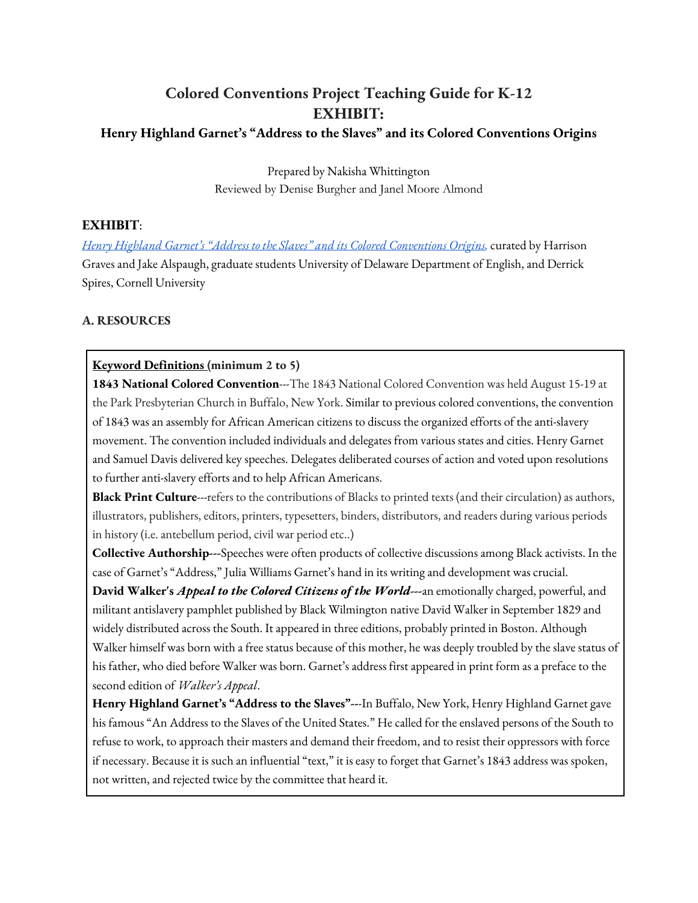# **Colored Conventions Project Teaching Guide for K-12 EXHIBIT:**

### **Henry Highland Garnet's "Address to the Slaves" and its Colored Conventions Origins**

Prepared by Nakisha Whittington Reviewed by Denise Burgher and Janel Moore Almond

# **EXHIBIT**:

Henry Highland Garnet's "Address to the Slaves" and its Colored Conventions Origins, curated by Harrison Graves and Jake Alspaugh, graduate students University of Delaware Department of English, and Derrick Spires, Cornell University

# **A. RESOURCES**

### **Keyword Definitions (minimum 2 to 5)**

1843 National Colored Convention---The 1843 National Colored Convention was held August 15-19 at the Park Presbyterian Church in Buffalo, New York. Similar to previous colored conventions, the convention of 1843 was an assembly for African American citizens to discuss the organized efforts of the anti-slavery movement. The convention included individuals and delegates from various states and cities. Henry Garnet and Samuel Davis delivered key speeches. Delegates deliberated courses of action and voted upon resolutions to further anti-slavery efforts and to help African Americans.

**Black Print Culture**---refers to the contributions of Blacks to printed texts (and their circulation) as authors, illustrators, publishers, editors, printers, typesetters, binders, distributors, and readers during various periods in history (i.e. antebellum period, civil war period etc..)

**Collective Authorship---**Speeches were often products of collective discussions among Black activists. In the case of Garnet's "Address," Julia Williams Garnet's hand in its writing and development was crucial.

**David Walker's** *Appeal to the Colored Citizens of the World***---**an emotionally charged, powerful, and militant antislavery pamphlet published by Black Wilmington native David Walker in September 1829 and widely distributed across the South. It appeared in three editions, probably printed in Boston. Although Walker himself was born with a free status because of this mother, he was deeply troubled by the slave status of his father, who died before Walker was born. Garnet's address first appeared in print form as a preface to the second edition of *Walker's Appeal*.

**Henry Highland Garnet's "Address to the Slaves"--**-In Buffalo, New York, Henry Highland Garnet gave his famous "An Address to the Slaves of the United States." He called for the enslaved persons of the South to refuse to work, to approach their masters and demand their freedom, and to resist their oppressors with force if necessary. Because it is such an influential "text," it is easy to forget that Garnet's 1843 address was spoken, not written, and rejected twice by the committee that heard it.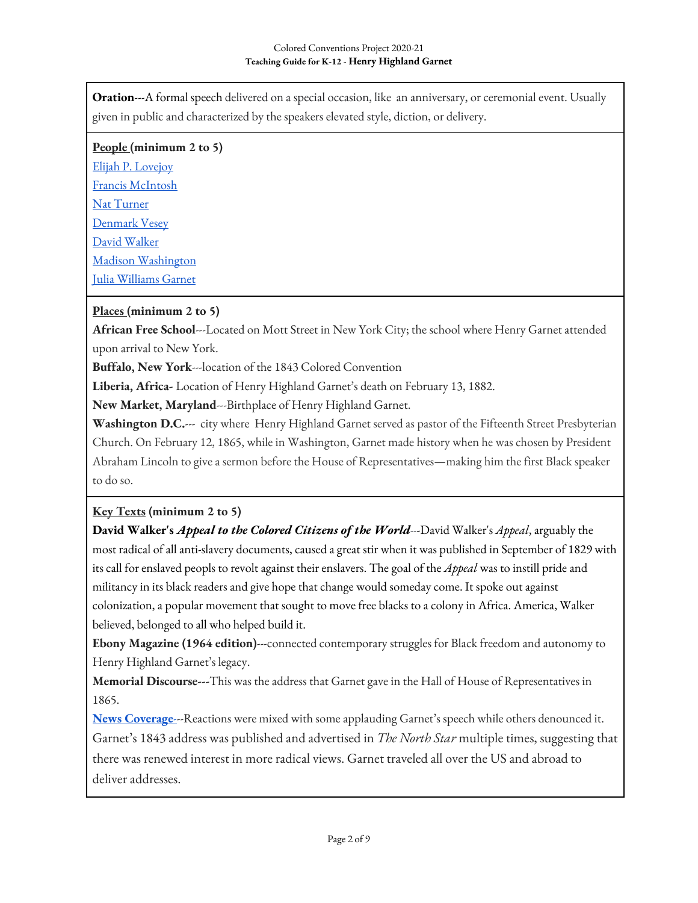**Oration**---A formal speech delivered on a special occasion, like an anniversary, or ceremonial event. Usually given in public and characterized by the speakers elevated style, diction, or delivery.

#### **People (minimum 2 to 5)**

Elijah P. Lovejoy Francis McIntosh Nat Turner Denmark Vesey David Walker Madison Washington Julia Williams Garnet

# **Places (minimum 2 to 5)**

**African Free School**---Located on Mott Street in New York City; the school where Henry Garnet attended upon arrival to New York.

**Buffalo, New York**---location of the 1843 Colored Convention

**Liberia, Africa-** Location of Henry Highland Garnet's death on February 13, 1882.

**New Market, Maryland**---Birthplace of Henry Highland Garnet.

**Washington D.C.**--- city where Henry Highland Garnet served as pastor of the Fifteenth Street Presbyterian Church. On February 12, 1865, while in Washington, Garnet made history when he was chosen by President Abraham Lincoln to give a sermon before the House of Representatives—making him the first Black speaker to do so.

### **Key Texts (minimum 2 to 5)**

**David Walker's** *Appeal to the Colored Citizens of the World*---David Walker's *Appeal*, arguably the most radical of all anti-slavery documents, caused a great stir when it was published in September of 1829 with its call for enslaved peopls to revolt against their enslavers. The goal of the *Appeal* was to instill pride and militancy in its black readers and give hope that change would someday come. It spoke out against colonization, a popular movement that sought to move free blacks to a colony in Africa. America, Walker believed, belonged to all who helped build it.

**Ebony Magazine (1964 edition)**---connected contemporary struggles for Black freedom and autonomy to Henry Highland Garnet's legacy.

**Memorial Discourse---**This was the address that Garnet gave in the Hall of House of Representatives in 1865.

**News Coverage**---Reactions were mixed with some applauding Garnet's speech while others denounced it. Garnet's 1843 address was published and advertised in *The North Star* multiple times, suggesting that there was renewed interest in more radical views. Garnet traveled all over the US and abroad to deliver addresses.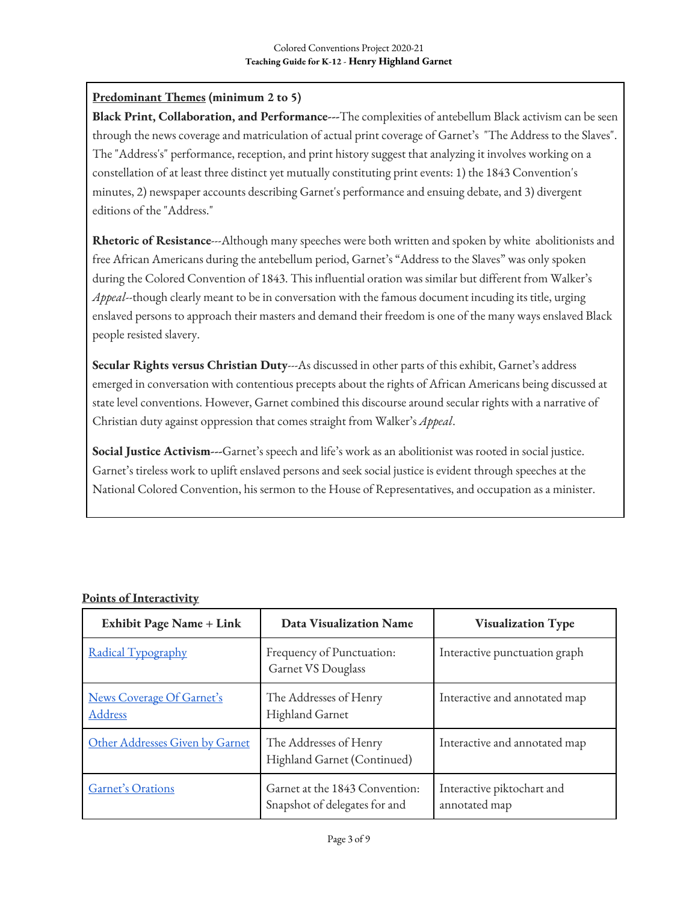# **Predominant Themes (minimum 2 to 5)**

**Black Print, Collaboration, and Performance---**The complexities of antebellum Black activism can be seen through the news coverage and matriculation of actual print coverage of Garnet's "The Address to the Slaves". The "Address's" performance, reception, and print history suggest that analyzing it involves working on a constellation of at least three distinct yet mutually constituting print events: 1) the 1843 Convention's minutes, 2) newspaper accounts describing Garnet's performance and ensuing debate, and 3) divergent editions of the "Address."

**Rhetoric of Resistance**---Although many speeches were both written and spoken by white abolitionists and free African Americans during the antebellum period, Garnet's "Address to the Slaves" was only spoken during the Colored Convention of 1843. This influential oration was similar but different from Walker's *Appeal*--though clearly meant to be in conversation with the famous document incuding its title, urging enslaved persons to approach their masters and demand their freedom is one of the many ways enslaved Black people resisted slavery.

**Secular Rights versus Christian Duty**---As discussed in other parts of this exhibit, Garnet's address emerged in conversation with contentious precepts about the rights of African Americans being discussed at state level conventions. However, Garnet combined this discourse around secular rights with a narrative of Christian duty against oppression that comes straight from Walker's *Appeal*.

**Social Justice Activism---**Garnet's speech and life's work as an abolitionist was rooted in social justice. Garnet's tireless work to uplift enslaved persons and seek social justice is evident through speeches at the National Colored Convention, his sermon to the House of Representatives, and occupation as a minister.

| <b>Exhibit Page Name + Link</b>      | <b>Data Visualization Name</b>                                  | <b>Visualization Type</b>                   |
|--------------------------------------|-----------------------------------------------------------------|---------------------------------------------|
| Radical Typography                   | Frequency of Punctuation:<br><b>Garnet VS Douglass</b>          | Interactive punctuation graph               |
| News Coverage Of Garnet's<br>Address | The Addresses of Henry<br><b>Highland Garnet</b>                | Interactive and annotated map               |
| Other Addresses Given by Garnet      | The Addresses of Henry<br>Highland Garnet (Continued)           | Interactive and annotated map               |
| Garnet's Orations                    | Garnet at the 1843 Convention:<br>Snapshot of delegates for and | Interactive piktochart and<br>annotated map |

### **Points of Interactivity**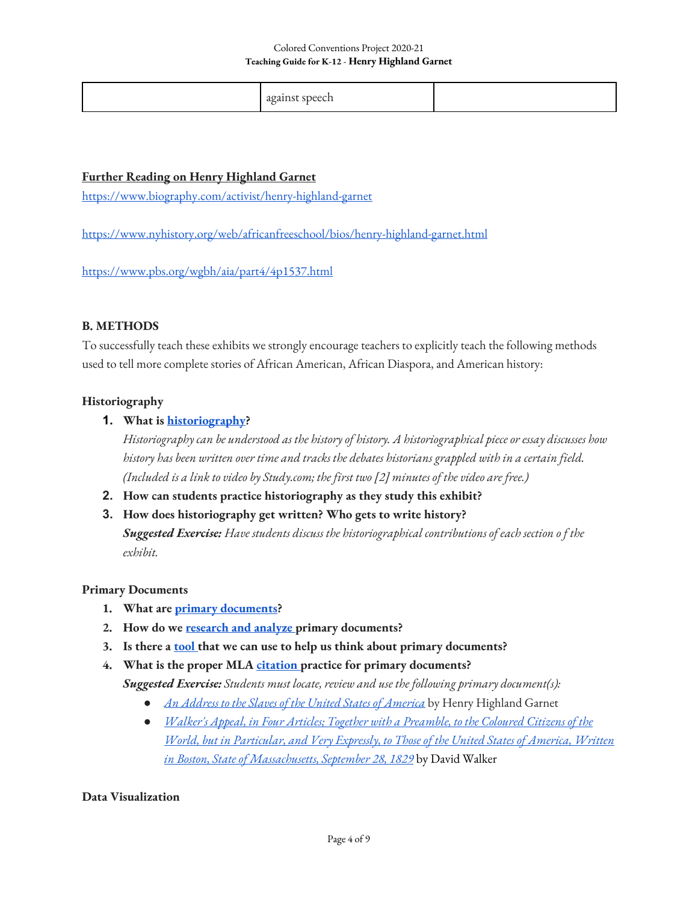|--|

### **Further Reading on Henry Highland Garnet**

https://www.biography.com/activist/henry-highland-garnet

https://www.nyhistory.org/web/africanfreeschool/bios/henry-highland-garnet.html

https://www.pbs.org/wgbh/aia/part4/4p1537.html

### **B. METHODS**

To successfully teach these exhibits we strongly encourage teachers to explicitly teach the following methods used to tell more complete stories of African American, African Diaspora, and American history:

### **Historiography**

# **1. What is historiography?**

*Historiography can be understood as the history of history. A historiographical piece or essay discusses how history has been written over time and tracks the debates historians grappled with in a certain field. (Included is a link to video by Study.com; the first two [2] minutes of the video are free.)*

- **2. How can students practice historiography as they study this exhibit?**
- **3. How does historiography get written? Who gets to write history?**

*Suggested Exercise: Have students discuss the historiographical contributions of each section o f the exhibit.*

### **Primary Documents**

- **1. What are primary documents?**
- 2. How do we research and analyze primary documents?
- **3. Is there a tool that we can use to help us think about primary documents?**
- **4. What is the proper MLA citation practice for primary documents?**

*Suggested Exercise: Students must locate, review and use the following primary document(s):* 

- *An Address to the Slaves of the United States of America* by Henry Highland Garnet
- *Walker's Appeal, in Four Articles; Together with a Preamble, to the Coloured Citizens of the World, but in Particular, and Very Expressly, to Those of the United States of America, Written in Boston, State of Massachusetts, September 28, 1829* by David Walker

#### **Data Visualization**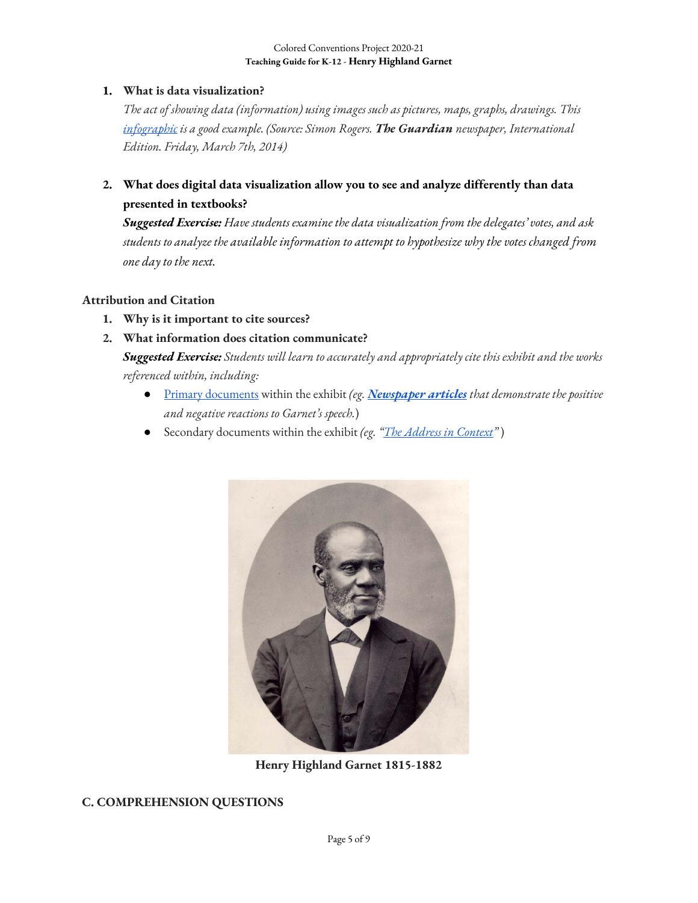# **1. What is data visualization?**

*The act of showing data (information) using images such as pictures, maps, graphs, drawings. This infographic is a good example. (Source: Simon Rogers. The Guardian newspaper, International Edition. Friday, March 7th, 2014)*

**2. What does digital data visualization allow you to see and analyze differently than data presented in textbooks?**

*Suggested Exercise: Have students examine the data visualization from the delegates' votes, and ask students to analyze the available information to attempt to hypothesize why the votes changed from one day to the next.*

### **Attribution and Citation**

- **1. Why is it important to cite sources?**
- **2. What information does citation communicate?**

*Suggested Exercise: Students will learn to accurately and appropriately cite this exhibit and the works referenced within, including:* 

- Primary documents within the exhibit *(eg. Newspaper articles that demonstrate the positive and negative reactions to Garnet's speech.*)
- Secondary documents within the exhibit *(eg. "The Address in Context"* )



**Henry Highland Garnet 1815-1882**

### **C. COMPREHENSION QUESTIONS**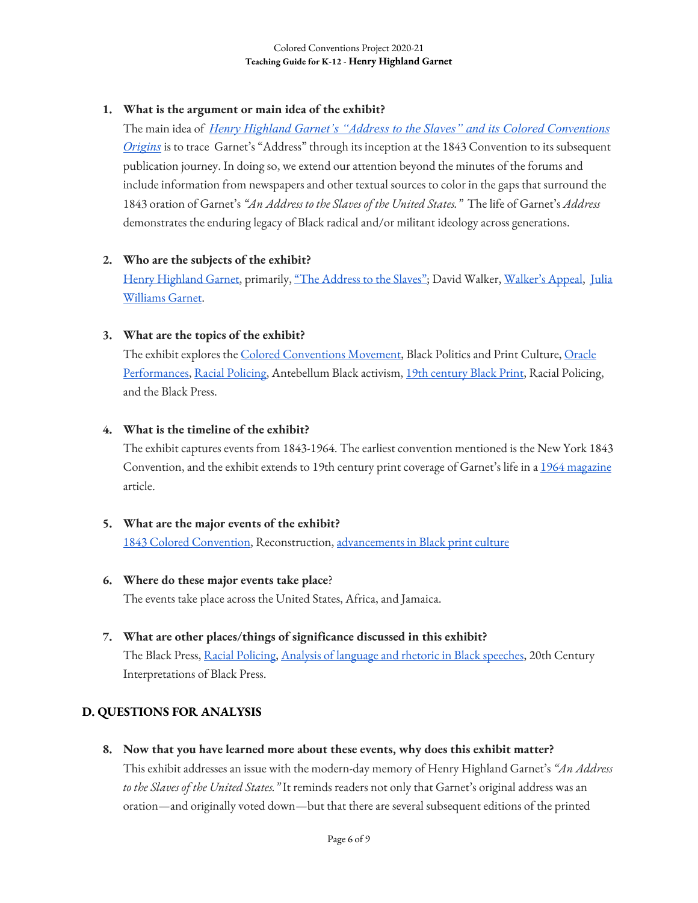# **1. What is the argument or main idea of the exhibit?**

The main idea of *Henry Highland Garnet's "Address to the Slaves" and its Colored Conventions Origins* is to trace Garnet's "Address" through its inception at the 1843 Convention to its subsequent publication journey. In doing so, we extend our attention beyond the minutes of the forums and include information from newspapers and other textual sources to color in the gaps that surround the 1843 oration of Garnet's *"An Address to the Slaves of the United States."* The life of Garnet's *Address* demonstrates the enduring legacy of Black radical and/or militant ideology across generations.

# **2. Who are the subjects of the exhibit?**

Henry Highland Garnet, primarily, "The Address to the Slaves"; David Walker, Walker's Appeal, Julia Williams Garnet.

# **3. What are the topics of the exhibit?**

The exhibit explores the Colored Conventions Movement, Black Politics and Print Culture, Oracle Performances, Racial Policing, Antebellum Black activism, 19th century Black Print, Racial Policing, and the Black Press.

# **4. What is the timeline of the exhibit?**

The exhibit captures events from 1843-1964. The earliest convention mentioned is the New York 1843 Convention, and the exhibit extends to 19th century print coverage of Garnet's life in a 1964 magazine article.

### **5. What are the major events of the exhibit?**

1843 Colored Convention, Reconstruction, advancements in Black print culture

### **6. Where do these major events take place**?

The events take place across the United States, Africa, and Jamaica.

**7. What are other places/things of significance discussed in this exhibit?**  The Black Press, Racial Policing, Analysis of language and rhetoric in Black speeches, 20th Century Interpretations of Black Press.

# **D. QUESTIONS FOR ANALYSIS**

**8. Now that you have learned more about these events, why does this exhibit matter?**

This exhibit addresses an issue with the modern-day memory of Henry Highland Garnet's *"An Address to the Slaves of the United States."* It reminds readers not only that Garnet's original address was an oration—and originally voted down—but that there are several subsequent editions of the printed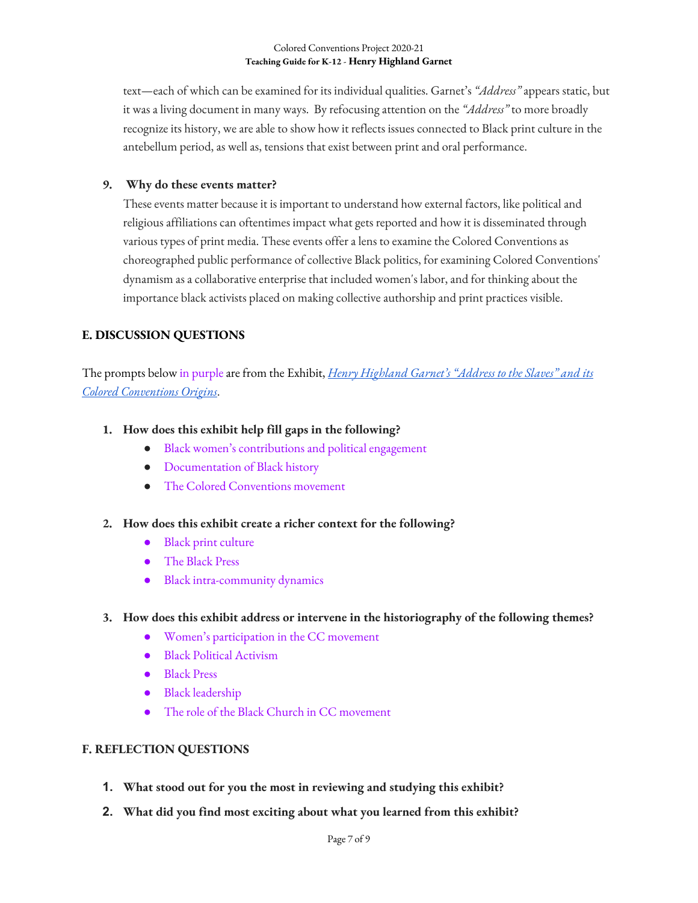text—each of which can be examined for its individual qualities. Garnet's *"Address"*appears static, but it was a living document in many ways. By refocusing attention on the *"Address"* to more broadly recognize its history, we are able to show how it reflects issues connected to Black print culture in the antebellum period, as well as, tensions that exist between print and oral performance.

### **9. Why do these events matter?**

These events matter because it is important to understand how external factors, like political and religious affiliations can oftentimes impact what gets reported and how it is disseminated through various types of print media. These events offer a lens to examine the Colored Conventions as choreographed public performance of collective Black politics, for examining Colored Conventions' dynamism as a collaborative enterprise that included women's labor, and for thinking about the importance black activists placed on making collective authorship and print practices visible.

### **E. DISCUSSION QUESTIONS**

The prompts below in purpleare from the Exhibit, *Henry Highland Garnet's "Address to the Slaves" and its Colored Conventions Origins*.

### **1. How does this exhibit help fill gaps in the following?**

- Black women's contributions and political engagement
- Documentation of Black history
- The Colored Conventions movement

### **2. How does this exhibit create a richer context for the following?**

- Black print culture
- The Black Press
- Black intra-community dynamics

### **3. How does this exhibit address or intervene in the historiography of the following themes?**

- Women's participation in the CC movement
- Black Political Activism
- Black Press
- Black leadership
- The role of the Black Church in CC movement

### **F. REFLECTION QUESTIONS**

- **1. What stood out for you the most in reviewing and studying this exhibit?**
- **2. What did you find most exciting about what you learned from this exhibit?**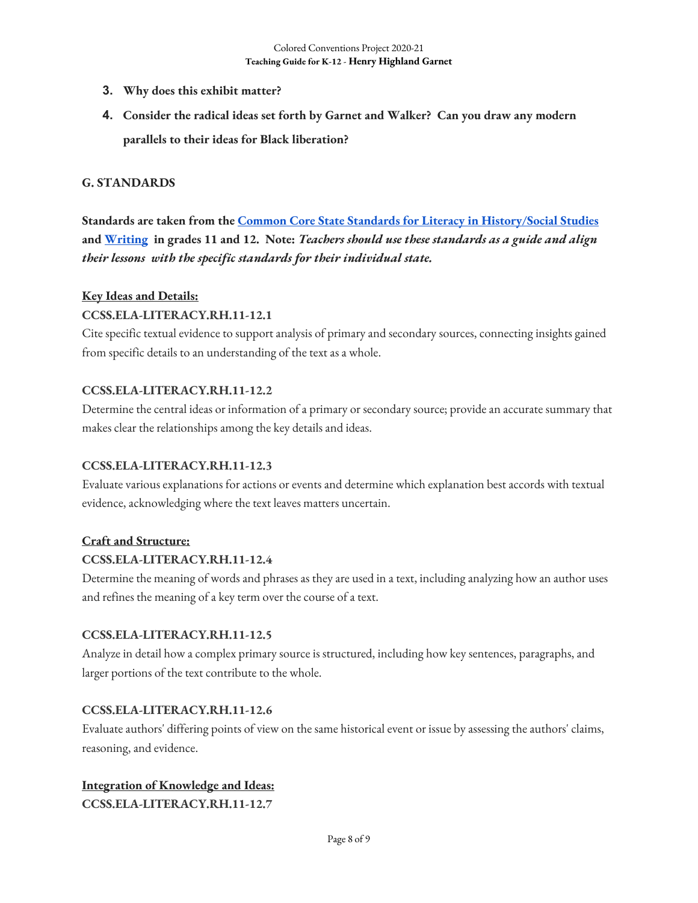- **3. Why does this exhibit matter?**
- **4. Consider the radical ideas set forth by Garnet and Walker? Can you draw any modern parallels to their ideas for Black liberation?**

#### **G. STANDARDS**

**Standards are taken from the Common Core State Standards for Literacy in History/Social Studies and Writing in grades 11 and 12. Note:** *Teachers should use these standards as a guide and align their lessons with the specific standards for their individual state.* 

#### **Key Ideas and Details:**

#### **CCSS.ELA-LITERACY.RH.11-12.1**

Cite specific textual evidence to support analysis of primary and secondary sources, connecting insights gained from specific details to an understanding of the text as a whole.

#### **CCSS.ELA-LITERACY.RH.11-12.2**

Determine the central ideas or information of a primary or secondary source; provide an accurate summary that makes clear the relationships among the key details and ideas.

#### **CCSS.ELA-LITERACY.RH.11-12.3**

Evaluate various explanations for actions or events and determine which explanation best accords with textual evidence, acknowledging where the text leaves matters uncertain.

#### **Craft and Structure:**

#### **CCSS.ELA-LITERACY.RH.11-12.4**

Determine the meaning of words and phrases as they are used in a text, including analyzing how an author uses and refines the meaning of a key term over the course of a text.

#### **CCSS.ELA-LITERACY.RH.11-12.5**

Analyze in detail how a complex primary source is structured, including how key sentences, paragraphs, and larger portions of the text contribute to the whole.

#### **CCSS.ELA-LITERACY.RH.11-12.6**

Evaluate authors' differing points of view on the same historical event or issue by assessing the authors' claims, reasoning, and evidence.

#### **Integration of Knowledge and Ideas:**

**CCSS.ELA-LITERACY.RH.11-12.7**